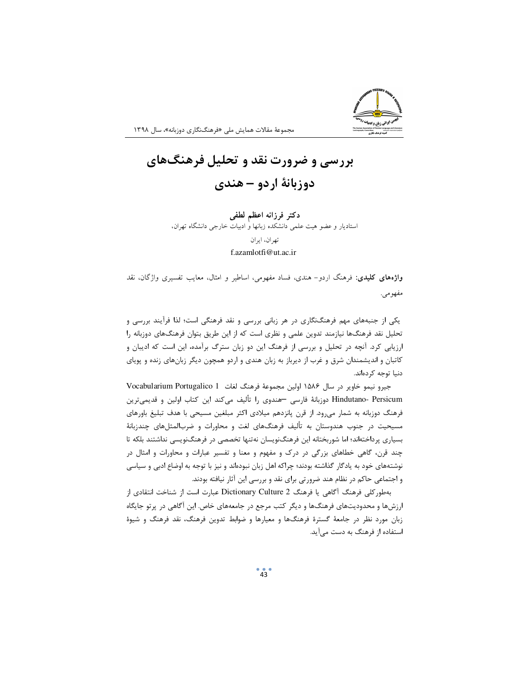

مجموعهٔ مقالات همایش ملی «فرهنگنگاری دوزبانه»، سال ۱۳۹۸

## **بررسی و ضرورت نقد و تحلیل فرهنگهای** دوزبانهٔ اردو – هندی

دكتر فرزانه اعظم لطف*ى* استادیار و عضو هیت علمی دانشکده زبانها و ادبیات خارجی دانشگاه تهران، -تهران، ايران f.azamlotfi@ut.ac.ir

**واژههای کلیدی**: فرهنگ اردو– هندی، فساد مفهومی، اساطیر و امثال، معایب تفسیری واژگان، نقد مفهومي.

یکی از جنبههای مهم فرهنگنگاری در هر زبانی بررسی و نقد فرهنگی است؛ لذا فرآیند بررسی و تحلیل نقد فرهنگها نیازمند تدوین علمی و نظری است که از این طریق بتوان فرهنگهای دوزبانه را ارزیابی کرد. آنچه در تحلیل و بررسی از فرهنگ این دو زبان سترگ برآمده، این است که ادیبان و کاتبان و اندیشمندان شرق و غرب از دیرباز به زبان هندی و اردو همچون دیگر زبانهای زنده و پویای دنیا توجه کردهاند.

جيرو نيمو خاوير در سال ۱۵۸۶ اولين مجموعهٔ فرهنگ لغات Vocabularium Portugalico 1 Hindutano- Persicum دوزبانهٔ فارسی —هندوی را تألیف میکند این کتاب اولین و قدیمیترین فرهنگ دوزبانه به شمار میرود. از قرن پانزدهم میلادی اکثر مبلغین مسیحی با هدف تبلیغ باورهای مسیحیت در جنوب هندوستان به تألیف فرهنگهای لغت و محاورات و ضربالمثلهای چندزبانهٔ بسیاری پرداختهاند؛ اما شوربختانه این فرهنگنویسان نهتنها تخصصی در فرهنگنویسی نداشتند بلکه تا چند قرن، گاهی خطاهای بزرگی در درک و مفهوم و معنا و تفسیر عبارات و محاورات و امثال در نوشتههای خود به یادگار گذاشته بودند؛ چراکه اهل زبان نبودهاند و نیز با توجه به اوضاع ادبی و سیاسی و اجتماعی حاکم در نظام هند ضرورتی برای نقد و بررسی این آثار نیافته بودند.

بهطوركلي فرهنگ آگاهي يا فرهنگ Dictionary Culture 2 عبارت است از شناخت انتقادي از ارزشها و محدودیتهای فرهنگها و دیگر کتب مرجع در جامعههای خاص. این آگاهی در پرتو جایگاه زبان مورد نظر در جامعهٔ گسترهٔ فرهنگها و معیارها و ضوابط تدوین فرهنگ، نقد فرهنگ و شیوهٔ استفاده از فرهنگ به دست میآید.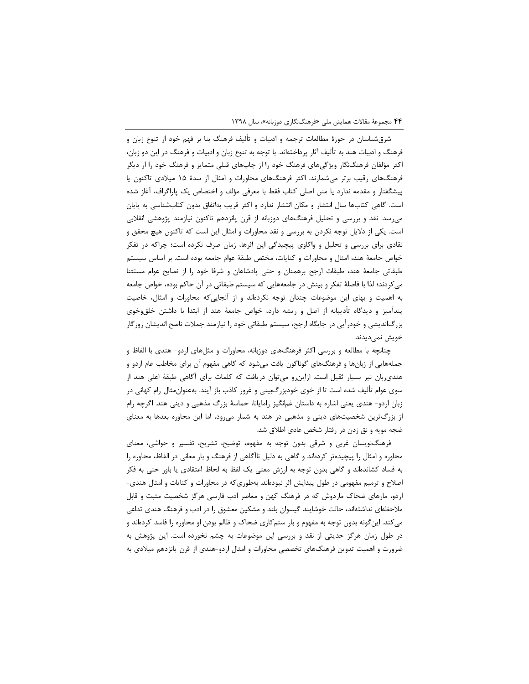شرقشناسان در حوزهٔ مطالعات ترجمه و ادبیات و تألیف فرهنگ بنا بر فهم خود از تنوع زبان و فرهنگ و ادبیات هند به تألیف آثار پرداختهاند. با توجه به تنوع زبان و ادبیات و فرهنگ در این دو زبان، اکثر مؤلفان فرهنگنگار ویژگیهای فرهنگ خود را از چاپهای قبلی متمایز و فرهنگ خود را از دیگر فرهنگهای رقیب برتر میشمارند. اکثر فرهنگهای محاورات و امثال از سدهٔ ۱۵ میلادی تاکنون یا پیشگفتار و مقدمه ندارد یا متن اصلی کتاب فقط با معرفی مؤلف و اختصاص یک پاراگراف، آغاز شده است. گاهی کتابها سال انتشار و مکان انتشار ندارد و اکثر قریب بهاتفاق بدون کتابشناسی به پایان میرسد. نقد و بررسی و تحلیل فرهنگهای دوزبانه از قرن پانزدهم تاکنون نیازمند پژوهشی انقلابی است. یکی از دلایل توجه نکردن به بررسی و نقد محاورات و امثال این است که تاکنون هیچ محقق و نقادی برای بررسی و تحلیل و واکاوی پیچیدگی این اثرها، زمان صرف نکرده است؛ چراکه در تفکر خواص جامعهٔ هند، امثال و محاورات و کنایات، مختص طبقهٔ عوام جامعه بوده است. بر اساس سیستم طبقاتی جامعهٔ هند، طبقات ارجح برهمنان و حتی پادشاهان و شرفا خود را از نصایح عوام مستثنا میکردند؛ لذا با فاصلهٔ تفکر و بینش در جامعههایی که سیستم طبقاتی در آن حاکم بوده، خواص جامعه به اهمیت و بهای این موضوعات چندان توجه نکردهاند و از آنجاییکه محاورات و امثال، خاصیت پندآمیز و دیدگاه تأدیبانه از اصل و ریشه دارد، خواص جامعهٔ هند از ابتدا با داشتن خلقوخوی بزرگاندیشی و خودرأیی در جایگاه ارجح، سیستم طبقاتی خود را نیازمند جملات ناصح اندیشان روزگار خويش نمىديدند.

چنانچه با مطالعه و بررسی اکثر فرهنگهای دوزبانه، محاورات و مثلهای اردو- هندی با الفاظ و جملههایی از زبانها و فرهنگهای گوناگون یافت میشود که گاهی مفهوم آن برای مخاطب عام اردو و هندیزبان نیز بسیار ثقیل است. ازاین٫رو میتوان دریافت که کلمات برای آگاهی طبقهٔ اعلی هند از سوی عوام تألیف شده است تا از خوی خودبزرگبینی و غرور کاذب باز آیند. بهعنوانِ مثال رام کهانی در زبان اردو- هندی یعنی اشاره به داستان غمانگیز رامایانا، حماسهٔ بزرگ مذهبی و دینی هند. اگرچه رام از بزرگترین شخصیتهای دینی و مذهبی در هند به شمار میرود، اما این محاوره بعدها به معنای ضجه مویه و نق زدن در رفتار شخص عادی اطلاق شد.

فرهنگنویسان غربی و شرقی بدون توجه به مفهوم، توضیح، تشریح، تفسیر و حواشی، معنای محاوره و امثال را پیچیدهتر کردهاند و گاهی به دلیل ناآگاهی از فرهنگ و بار معانی در الفاظ، محاوره را به فساد کشاندهاند و گاهی بدون توجه به ارزش معنی یک لفظ به لحاظ اعتقادی یا باور حتی به فکر اصلاح و ترمیم مفهومی در طول پیدایش اثر نبودهاند. بهطوری که در محاورات و کنایات و امثال هندی-اردو، مارهای ضحاک ماردوش که در فرهنگ کهن و معاصر ادب فارسی هرگز شخصیت مثبت و قابل ملاحظهای نداشتهاند، حالت خوشایند گیسوان بلند و مشکین معشوق را در ادب و فرهنگ هندی تداعی میکند. اینگونه بدون توجه به مفهوم و بار ستمکاری ضحاک و ظالم بودن او محاوره را فاسد کردهاند و در طول زمان هرگز حدیثی از نقد و بررسی این موضوعات به چشم نخورده است. این پژوهش به ضرورت و اهمیت تدوین فرهنگهای تخصصی محاورات و امثال اردو-هندی از قرن پانزدهم میلادی به